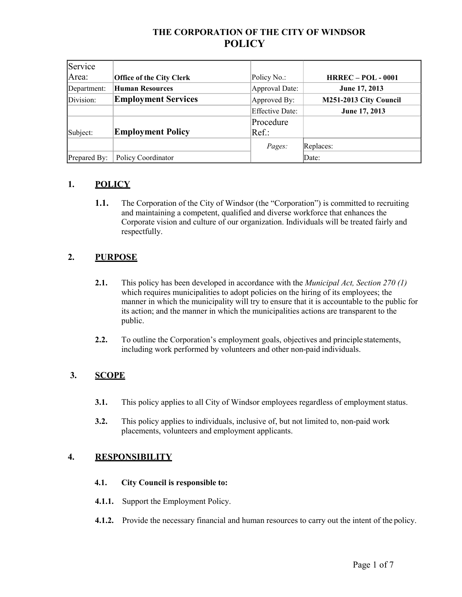# **THE CORPORATION OF THE CITY OF WINDSOR POLICY**

| Service      |                                 |                        |                           |
|--------------|---------------------------------|------------------------|---------------------------|
| Area:        | <b>Office of the City Clerk</b> | Policy No.:            | <b>HRREC - POL - 0001</b> |
| Department:  | <b>Human Resources</b>          | Approval Date:         | June 17, 2013             |
| Division:    | <b>Employment Services</b>      | Approved By:           | M251-2013 City Council    |
|              |                                 | <b>Effective Date:</b> | June 17, 2013             |
|              |                                 | Procedure              |                           |
| Subject:     | <b>Employment Policy</b>        | $Ref.$ :               |                           |
|              |                                 | Pages:                 | Replaces:                 |
| Prepared By: | Policy Coordinator              |                        | Date:                     |

# **1. POLICY**

**1.1.** The Corporation of the City of Windsor (the "Corporation") is committed to recruiting and maintaining a competent, qualified and diverse workforce that enhances the Corporate vision and culture of our organization. Individuals will be treated fairly and respectfully.

# **2. PURPOSE**

- **2.1.** This policy has been developed in accordance with the *Municipal Act, Section 270 (1)*  which requires municipalities to adopt policies on the hiring of its employees; the manner in which the municipality will try to ensure that it is accountable to the public for its action; and the manner in which the municipalities actions are transparent to the public.
- **2.2.** To outline the Corporation's employment goals, objectives and principle statements, including work performed by volunteers and other non-paid individuals.

## **3. SCOPE**

- **3.1.** This policy applies to all City of Windsor employees regardless of employment status.
- **3.2.** This policy applies to individuals, inclusive of, but not limited to, non-paid work placements, volunteers and employment applicants.

## **4. RESPONSIBILITY**

#### **4.1. City Council is responsible to:**

- **4.1.1.** Support the Employment Policy.
- **4.1.2.** Provide the necessary financial and human resources to carry out the intent of the policy.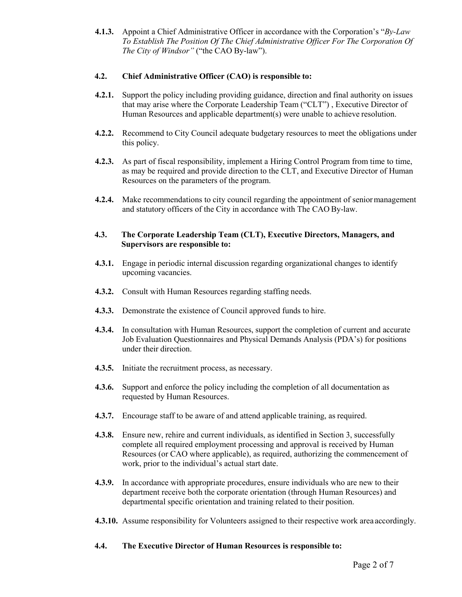**4.1.3.** Appoint a Chief Administrative Officer in accordance with the Corporation's "*By-Law To Establish The Position Of The Chief Administrative Officer For The Corporation Of The City of Windsor"* ("the CAO By-law").

### **4.2. Chief Administrative Officer (CAO) is responsible to:**

- **4.2.1.** Support the policy including providing guidance, direction and final authority on issues that may arise where the Corporate Leadership Team ("CLT") , Executive Director of Human Resources and applicable department(s) were unable to achieve resolution.
- **4.2.2.** Recommend to City Council adequate budgetary resources to meet the obligations under this policy.
- **4.2.3.** As part of fiscal responsibility, implement a Hiring Control Program from time to time, as may be required and provide direction to the CLT, and Executive Director of Human Resources on the parameters of the program.
- **4.2.4.** Make recommendations to city council regarding the appointment of seniormanagement and statutory officers of the City in accordance with The CAO By-law.

### **4.3. The Corporate Leadership Team (CLT), Executive Directors, Managers, and Supervisors are responsible to:**

- **4.3.1.** Engage in periodic internal discussion regarding organizational changes to identify upcoming vacancies.
- **4.3.2.** Consult with Human Resources regarding staffing needs.
- **4.3.3.** Demonstrate the existence of Council approved funds to hire.
- **4.3.4.** In consultation with Human Resources, support the completion of current and accurate Job Evaluation Questionnaires and Physical Demands Analysis (PDA's) for positions under their direction.
- **4.3.5.** Initiate the recruitment process, as necessary.
- **4.3.6.** Support and enforce the policy including the completion of all documentation as requested by Human Resources.
- **4.3.7.** Encourage staff to be aware of and attend applicable training, as required.
- **4.3.8.** Ensure new, rehire and current individuals, as identified in Section 3, successfully complete all required employment processing and approval is received by Human Resources (or CAO where applicable), as required, authorizing the commencement of work, prior to the individual's actual start date.
- **4.3.9.** In accordance with appropriate procedures, ensure individuals who are new to their department receive both the corporate orientation (through Human Resources) and departmental specific orientation and training related to their position.
- **4.3.10.** Assume responsibility for Volunteers assigned to their respective work area accordingly.

#### **4.4. The Executive Director of Human Resources is responsible to:**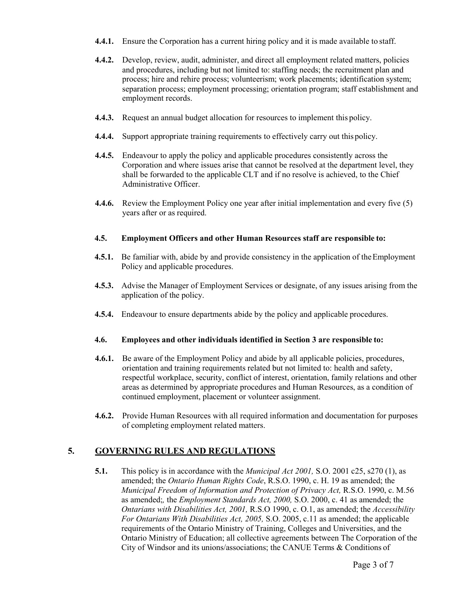- **4.4.1.** Ensure the Corporation has a current hiring policy and it is made available to staff.
- **4.4.2.** Develop, review, audit, administer, and direct all employment related matters, policies and procedures, including but not limited to: staffing needs; the recruitment plan and process; hire and rehire process; volunteerism; work placements; identification system; separation process; employment processing; orientation program; staff establishment and employment records.
- **4.4.3.** Request an annual budget allocation for resources to implement this policy.
- **4.4.4.** Support appropriate training requirements to effectively carry out this policy.
- **4.4.5.** Endeavour to apply the policy and applicable procedures consistently across the Corporation and where issues arise that cannot be resolved at the department level, they shall be forwarded to the applicable CLT and if no resolve is achieved, to the Chief Administrative Officer.
- **4.4.6.** Review the Employment Policy one year after initial implementation and every five (5) years after or as required.

### **4.5. Employment Officers and other Human Resources staff are responsible to:**

- **4.5.1.** Be familiar with, abide by and provide consistency in the application of the Employment Policy and applicable procedures.
- **4.5.3.** Advise the Manager of Employment Services or designate, of any issues arising from the application of the policy.
- **4.5.4.** Endeavour to ensure departments abide by the policy and applicable procedures.

#### **4.6. Employees and other individuals identified in Section 3 are responsible to:**

- **4.6.1.** Be aware of the Employment Policy and abide by all applicable policies, procedures, orientation and training requirements related but not limited to: health and safety, respectful workplace, security, conflict of interest, orientation, family relations and other areas as determined by appropriate procedures and Human Resources, as a condition of continued employment, placement or volunteer assignment.
- **4.6.2.** Provide Human Resources with all required information and documentation for purposes of completing employment related matters.

## **5. GOVERNING RULES AND REGULATIONS**

**5.1.** This policy is in accordance with the *Municipal Act 2001,* S.O. 2001 c25, s270 (1), as amended; the *Ontario Human Rights Code*, R.S.O. 1990, c. H. 19 as amended; the *Municipal Freedom of Information and Protection of Privacy Act,* R.S.O. 1990, c. M.56 as amended;*,* the *Employment Standards Act, 2000,* S.O. 2000, c. 41 as amended; the *Ontarians with Disabilities Act, 2001,* R.S.O 1990, c. O.1, as amended; the *Accessibility For Ontarians With Disabilities Act, 2005,* S.O. 2005, c.11 as amended; the applicable requirements of the Ontario Ministry of Training, Colleges and Universities, and the Ontario Ministry of Education; all collective agreements between The Corporation of the City of Windsor and its unions/associations; the CANUE Terms & Conditions of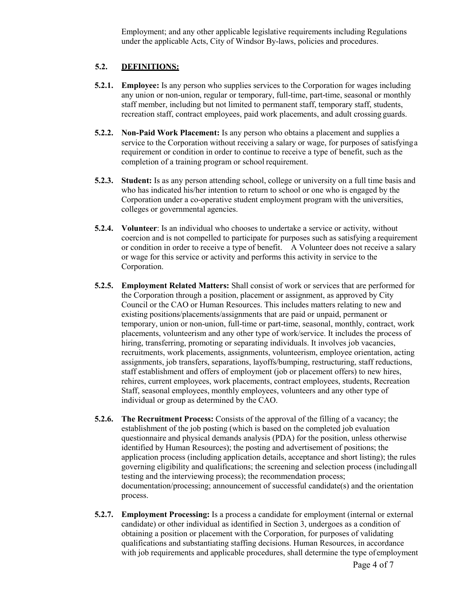Employment; and any other applicable legislative requirements including Regulations under the applicable Acts, City of Windsor By-laws, policies and procedures.

### **5.2. DEFINITIONS:**

- **5.2.1. Employee:** Is any person who supplies services to the Corporation for wages including any union or non-union, regular or temporary, full-time, part-time, seasonal or monthly staff member, including but not limited to permanent staff, temporary staff, students, recreation staff, contract employees, paid work placements, and adult crossing guards.
- **5.2.2. Non-Paid Work Placement:** Is any person who obtains a placement and supplies a service to the Corporation without receiving a salary or wage, for purposes of satisfyinga requirement or condition in order to continue to receive a type of benefit, such as the completion of a training program or school requirement.
- **5.2.3. Student:** Is as any person attending school, college or university on a full time basis and who has indicated his/her intention to return to school or one who is engaged by the Corporation under a co-operative student employment program with the universities, colleges or governmental agencies.
- **5.2.4. Volunteer**: Is an individual who chooses to undertake a service or activity, without coercion and is not compelled to participate for purposes such as satisfying a requirement or condition in order to receive a type of benefit. A Volunteer does not receive a salary or wage for this service or activity and performs this activity in service to the Corporation.
- **5.2.5. Employment Related Matters:** Shall consist of work or services that are performed for the Corporation through a position, placement or assignment, as approved by City Council or the CAO or Human Resources. This includes matters relating to new and existing positions/placements/assignments that are paid or unpaid, permanent or temporary, union or non-union, full-time or part-time, seasonal, monthly, contract, work placements, volunteerism and any other type of work/service. It includes the process of hiring, transferring, promoting or separating individuals. It involves job vacancies, recruitments, work placements, assignments, volunteerism, employee orientation, acting assignments, job transfers, separations, layoffs/bumping, restructuring, staff reductions, staff establishment and offers of employment (job or placement offers) to new hires, rehires, current employees, work placements, contract employees, students, Recreation Staff, seasonal employees, monthly employees, volunteers and any other type of individual or group as determined by the CAO.
- **5.2.6. The Recruitment Process:** Consists of the approval of the filling of a vacancy; the establishment of the job posting (which is based on the completed job evaluation questionnaire and physical demands analysis (PDA) for the position, unless otherwise identified by Human Resources); the posting and advertisement of positions; the application process (including application details, acceptance and short listing); the rules governing eligibility and qualifications; the screening and selection process (includingall testing and the interviewing process); the recommendation process; documentation/processing; announcement of successful candidate(s) and the orientation process.
- **5.2.7. Employment Processing:** Is a process a candidate for employment (internal or external candidate) or other individual as identified in Section 3, undergoes as a condition of obtaining a position or placement with the Corporation, for purposes of validating qualifications and substantiating staffing decisions. Human Resources, in accordance with job requirements and applicable procedures, shall determine the type of employment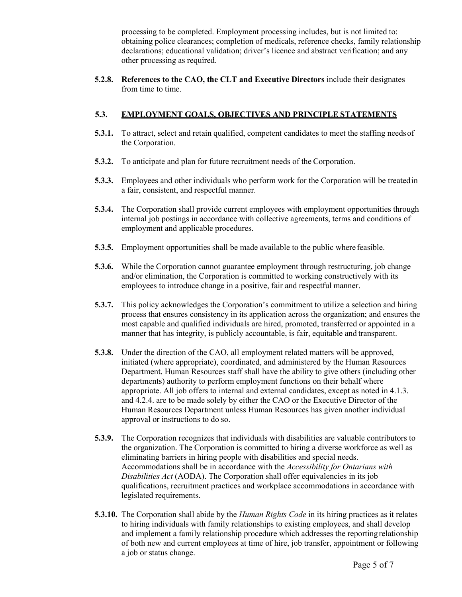processing to be completed. Employment processing includes, but is not limited to: obtaining police clearances; completion of medicals, reference checks, family relationship declarations; educational validation; driver's licence and abstract verification; and any other processing as required.

**5.2.8. References to the CAO, the CLT and Executive Directors** include their designates from time to time.

### **5.3. EMPLOYMENT GOALS, OBJECTIVES AND PRINCIPLE STATEMENTS**

- **5.3.1.** To attract, select and retain qualified, competent candidates to meet the staffing needs of the Corporation.
- **5.3.2.** To anticipate and plan for future recruitment needs of the Corporation.
- **5.3.3.** Employees and other individuals who perform work for the Corporation will be treatedin a fair, consistent, and respectful manner.
- **5.3.4.** The Corporation shall provide current employees with employment opportunities through internal job postings in accordance with collective agreements, terms and conditions of employment and applicable procedures.
- **5.3.5.** Employment opportunities shall be made available to the public where feasible.
- **5.3.6.** While the Corporation cannot guarantee employment through restructuring, job change and/or elimination, the Corporation is committed to working constructively with its employees to introduce change in a positive, fair and respectful manner.
- **5.3.7.** This policy acknowledges the Corporation's commitment to utilize a selection and hiring process that ensures consistency in its application across the organization; and ensures the most capable and qualified individuals are hired, promoted, transferred or appointed in a manner that has integrity, is publicly accountable, is fair, equitable and transparent.
- **5.3.8.** Under the direction of the CAO, all employment related matters will be approved, initiated (where appropriate), coordinated, and administered by the Human Resources Department. Human Resources staff shall have the ability to give others (including other departments) authority to perform employment functions on their behalf where appropriate. All job offers to internal and external candidates, except as noted in 4.1.3. and 4.2.4. are to be made solely by either the CAO or the Executive Director of the Human Resources Department unless Human Resources has given another individual approval or instructions to do so.
- **5.3.9.** The Corporation recognizes that individuals with disabilities are valuable contributors to the organization. The Corporation is committed to hiring a diverse workforce as well as eliminating barriers in hiring people with disabilities and special needs. Accommodations shall be in accordance with the *Accessibility for Ontarians with Disabilities Act* (AODA). The Corporation shall offer equivalencies in its job qualifications, recruitment practices and workplace accommodations in accordance with legislated requirements.
- **5.3.10.** The Corporation shall abide by the *Human Rights Code* in its hiring practices as it relates to hiring individuals with family relationships to existing employees, and shall develop and implement a family relationship procedure which addresses the reportingrelationship of both new and current employees at time of hire, job transfer, appointment or following a job or status change.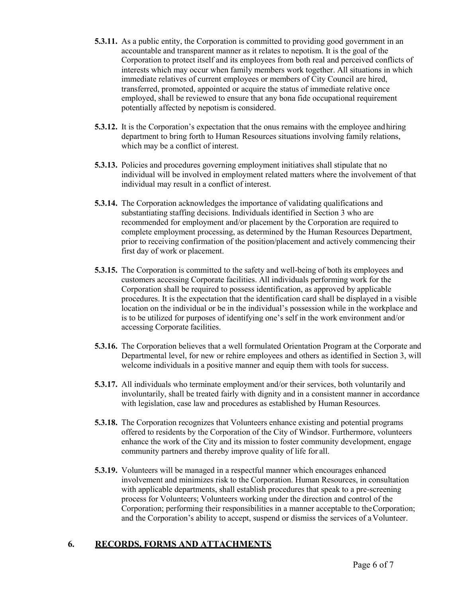- **5.3.11.** As a public entity, the Corporation is committed to providing good government in an accountable and transparent manner as it relates to nepotism. It is the goal of the Corporation to protect itself and its employees from both real and perceived conflicts of interests which may occur when family members work together. All situations in which immediate relatives of current employees or members of City Council are hired, transferred, promoted, appointed or acquire the status of immediate relative once employed, shall be reviewed to ensure that any bona fide occupational requirement potentially affected by nepotism is considered.
- **5.3.12.** It is the Corporation's expectation that the onus remains with the employee andhiring department to bring forth to Human Resources situations involving family relations, which may be a conflict of interest.
- **5.3.13.** Policies and procedures governing employment initiatives shall stipulate that no individual will be involved in employment related matters where the involvement of that individual may result in a conflict of interest.
- **5.3.14.** The Corporation acknowledges the importance of validating qualifications and substantiating staffing decisions. Individuals identified in Section 3 who are recommended for employment and/or placement by the Corporation are required to complete employment processing, as determined by the Human Resources Department, prior to receiving confirmation of the position/placement and actively commencing their first day of work or placement.
- **5.3.15.** The Corporation is committed to the safety and well-being of both its employees and customers accessing Corporate facilities. All individuals performing work for the Corporation shall be required to possess identification, as approved by applicable procedures. It is the expectation that the identification card shall be displayed in a visible location on the individual or be in the individual's possession while in the workplace and is to be utilized for purposes of identifying one's self in the work environment and/or accessing Corporate facilities.
- **5.3.16.** The Corporation believes that a well formulated Orientation Program at the Corporate and Departmental level, for new or rehire employees and others as identified in Section 3, will welcome individuals in a positive manner and equip them with tools for success.
- **5.3.17.** All individuals who terminate employment and/or their services, both voluntarily and involuntarily, shall be treated fairly with dignity and in a consistent manner in accordance with legislation, case law and procedures as established by Human Resources.
- **5.3.18.** The Corporation recognizes that Volunteers enhance existing and potential programs offered to residents by the Corporation of the City of Windsor. Furthermore, volunteers enhance the work of the City and its mission to foster community development, engage community partners and thereby improve quality of life for all.
- **5.3.19.** Volunteers will be managed in a respectful manner which encourages enhanced involvement and minimizes risk to the Corporation. Human Resources, in consultation with applicable departments, shall establish procedures that speak to a pre-screening process for Volunteers; Volunteers working under the direction and control of the Corporation; performing their responsibilities in a manner acceptable to theCorporation; and the Corporation's ability to accept, suspend or dismiss the services of a Volunteer.

## **6. RECORDS, FORMS AND ATTACHMENTS**